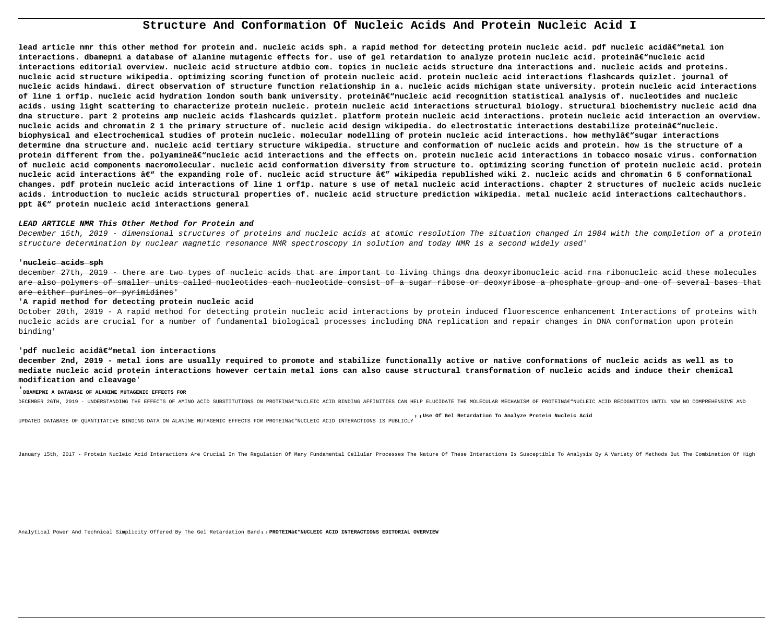# **Structure And Conformation Of Nucleic Acids And Protein Nucleic Acid I**

lead article nmr this other method for protein and. nucleic acids sph. a rapid method for detecting protein nucleic acid. pdf nucleic acidâ€"metal ion interactions. dbamepni a database of alanine mutagenic effects for. use of gel retardation to analyze protein nucleic acid. proteinâ€"nucleic acid **interactions editorial overview. nucleic acid structure atdbio com. topics in nucleic acids structure dna interactions and. nucleic acids and proteins. nucleic acid structure wikipedia. optimizing scoring function of protein nucleic acid. protein nucleic acid interactions flashcards quizlet. journal of nucleic acids hindawi. direct observation of structure function relationship in a. nucleic acids michigan state university. protein nucleic acid interactions** of line 1 orf1p. nucleic acid hydration london south bank university. proteinâ€"nucleic acid recognition statistical analysis of. nucleotides and nucleic **acids. using light scattering to characterize protein nucleic. protein nucleic acid interactions structural biology. structural biochemistry nucleic acid dna dna structure. part 2 proteins amp nucleic acids flashcards quizlet. platform protein nucleic acid interactions. protein nucleic acid interaction an overview.** nucleic acids and chromatin 2 1 the primary structure of. nucleic acid design wikipedia. do electrostatic interactions destabilize proteinâ€"nucleic. biophysical and electrochemical studies of protein nucleic. molecular modelling of protein nucleic acid interactions. how methylâ€"sugar interactions **determine dna structure and. nucleic acid tertiary structure wikipedia. structure and conformation of nucleic acids and protein. how is the structure of a** protein different from the. polyamineâ€"nucleic acid interactions and the effects on. protein nucleic acid interactions in tobacco mosaic virus. conformation **of nucleic acid components macromolecular. nucleic acid conformation diversity from structure to. optimizing scoring function of protein nucleic acid. protein** nucleic acid interactions â€<sup>w</sup> the expanding role of. nucleic acid structure â€" wikipedia republished wiki 2. nucleic acids and chromatin 6 5 conformational **changes. pdf protein nucleic acid interactions of line 1 orf1p. nature s use of metal nucleic acid interactions. chapter 2 structures of nucleic acids nucleic acids. introduction to nucleic acids structural properties of. nucleic acid structure prediction wikipedia. metal nucleic acid interactions caltechauthors. ppt – protein nucleic acid interactions general**

december 27th, 2019 - there are two types of nucleic acids that are important to living things dna deoxyribonucleic acid rna ribonucleic acid these molecules are also polymers of smaller units called nucleotides each nucleotide consist of a sugar ribose or deoxyribose a phosphate group and one of several bases that are either purines or pyrimidines'

# **LEAD ARTICLE NMR This Other Method for Protein and**

December 15th, 2019 - dimensional structures of proteins and nucleic acids at atomic resolution The situation changed in 1984 with the completion of a protein structure determination by nuclear magnetic resonance NMR spectroscopy in solution and today NMR is a second widely used'

## '**nucleic acids sph**

# '**A rapid method for detecting protein nucleic acid**

October 20th, 2019 - A rapid method for detecting protein nucleic acid interactions by protein induced fluorescence enhancement Interactions of proteins with nucleic acids are crucial for a number of fundamental biological processes including DNA replication and repair changes in DNA conformation upon protein binding'

## 'pdf nucleic acidâ€"metal ion interactions

**december 2nd, 2019 - metal ions are usually required to promote and stabilize functionally active or native conformations of nucleic acids as well as to mediate nucleic acid protein interactions however certain metal ions can also cause structural transformation of nucleic acids and induce their chemical modification and cleavage**'

## '**DBAMEPNI A DATABASE OF ALANINE MUTAGENIC EFFECTS FOR**

DECEMBER 26TH, 2019 - UNDERSTANDING THE EFFECTS OF AMINO ACID SUBSTITUTIONS ON PROTEINAE"NUCLEIC ACID BINDING AFFINITIES CAN HELP ELUCIDATE THE MOLECULAR MECHANISM OF PROTEINAE"NUCLEIC ACID RECOGNITION UNTIL NOW NO COMPREH

UPDATED DATABASE OF QUANTITATIVE BINDING DATA ON ALANINE MUTAGENIC EFFECTS FOR PROTEIN'NUCLEIC ACID INTERACTIONS IS PUBLICLY'<br>UPDATED DATABASE OF QUANTITATIVE BINDING DATA ON ALANINE MUTAGENIC EFFECTS FOR PROTEIN'NUCL

January 15th, 2017 - Protein Nucleic Acid Interactions Are Crucial In The Regulation Of Many Fundamental Cellular Processes The Nature Of These Interactions Is Susceptible To Analysis By A Variety Of Methods But The Combin

Analytical Power And Technical Simplicity Offered By The Gel Retardation Band. . PROTEIN<sub>a</sub> enucleic ACID INTERACTIONS EDITORIAL OVERVIEW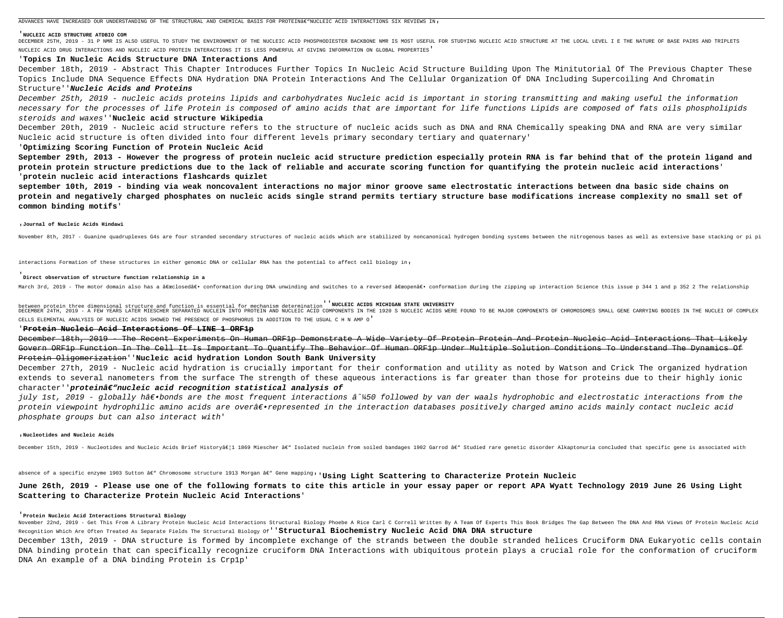ADVANCES HAVE INCREASED OUR UNDERSTANDING OF THE STRUCTURAL AND CHEMICAL BASIS FOR PROTEINAE NUCLEIC ACID INTERACTIONS SIX REVIEWS IN.

## '**NUCLEIC ACID STRUCTURE ATDBIO COM**

DECEMBER 25TH, 2019 - 31 P NMR IS ALSO USEFUL TO STUDY THE ENVIRONMENT OF THE NUCLEIC ACID PHOSPHODIESTER BACKBONE NMR IS MOST USEFUL FOR STUDYING NUCLEIC ACID STRUCTURE AT THE LOCAL LEVEL I E THE NATURE OF BASE PAIRS AND NUCLEIC ACID DRUG INTERACTIONS AND NUCLEIC ACID PROTEIN INTERACTIONS IT IS LESS POWERFUL AT GIVING INFORMATION ON GLOBAL PROPERTIES'

# '**Topics In Nucleic Acids Structure DNA Interactions And**

December 18th, 2019 - Abstract This Chapter Introduces Further Topics In Nucleic Acid Structure Building Upon The Minitutorial Of The Previous Chapter These Topics Include DNA Sequence Effects DNA Hydration DNA Protein Interactions And The Cellular Organization Of DNA Including Supercoiling And Chromatin Structure''**Nucleic Acids and Proteins**

December 25th, 2019 - nucleic acids proteins lipids and carbohydrates Nucleic acid is important in storing transmitting and making useful the information necessary for the processes of life Protein is composed of amino acids that are important for life functions Lipids are composed of fats oils phospholipids steroids and waxes''**Nucleic acid structure Wikipedia**

December 20th, 2019 - Nucleic acid structure refers to the structure of nucleic acids such as DNA and RNA Chemically speaking DNA and RNA are very similar Nucleic acid structure is often divided into four different levels primary secondary tertiary and quaternary'

## '**Optimizing Scoring Function of Protein Nucleic Acid**

**September 29th, 2013 - However the progress of protein nucleic acid structure prediction especially protein RNA is far behind that of the protein ligand and protein protein structure predictions due to the lack of reliable and accurate scoring function for quantifying the protein nucleic acid interactions**' '**protein nucleic acid interactions flashcards quizlet**

December 27th, 2019 - Nucleic acid hydration is crucially important for their conformation and utility as noted by Watson and Crick The organized hydration extends to several nanometers from the surface The strength of these aqueous interactions is far greater than those for proteins due to their highly ionic character''proteinâ $\epsilon$ "nucleic acid recognition statistical analysis of

**september 10th, 2019 - binding via weak noncovalent interactions no major minor groove same electrostatic interactions between dna basic side chains on protein and negatively charged phosphates on nucleic acids single strand permits tertiary structure base modifications increase complexity no small set of common binding motifs**'

## '**Journal of Nucleic Acids Hindawi**

November 8th, 2017 - Guanine quadruplexes G4s are four stranded secondary structures of nucleic acids which are stabilized by noncanonical hydrogen bonding systems between the nitrogenous bases as well as extensive base st

interactions Formation of these structures in either genomic DNA or cellular RNA has the potential to affect cell biology in,

july 1st, 2019 - globally h―bonds are the most frequent interactions â^¼50 followed by van der waals hydrophobic and electrostatic interactions from the protein viewpoint hydrophilic amino acids are over―represented in the interaction databases positively charged amino acids mainly contact nucleic acid phosphate groups but can also interact with'

## '**Direct observation of structure function relationship in a**

March 3rd, 2019 - The motor domain also has a "closed― conformation during DNA unwinding and switches to a reversed "open― conformation during the zipping up interaction Science this issue p 344 1 and p 352 2 The

November 22nd, 2019 - Get This From A Library Protein Nucleic Acid Interactions Structural Biology Phoebe A Rice Carl C Correll Written By A Team Of Experts This Book Bridges The Gap Between The DNA And RNA Views Of Protei Recognition Which Are Often Treated As Separate Fields The Structural Biology Of''**Structural Biochemistry Nucleic Acid DNA DNA structure** December 13th, 2019 - DNA structure is formed by incomplete exchange of the strands between the double stranded helices Cruciform DNA Eukaryotic cells contain DNA binding protein that can specifically recognize cruciform DNA Interactions with ubiquitous protein plays a crucial role for the conformation of cruciform DNA An example of a DNA binding Protein is Crp1p'

between protein three dimensional structure and function is essential for mechanism determination''**NUCLEIC ACIDS MICHIGAN STATE UNIVERSITY** DECEMBER 24TH, 2019 - A FEW YEARS LATER MIESCHER SEPARATED NUCLEIN INTO PROTEIN AND NUCLEIC ACID COMPONENTS IN THE 1920 S NUCLEIC ACIDS WERE FOUND TO BE MAJOR COMPONENTS OF CHROMOSOMES SMALL GENE CARRYING BODIES IN THE NUC CELLS ELEMENTAL ANALYSIS OF NUCLEIC ACIDS SHOWED THE PRESENCE OF PHOSPHORUS IN ADDITION TO THE USUAL C H N AMP O'

## '**Protein Nucleic Acid Interactions Of LINE 1 ORF1p**

December 18th, 2019 - The Recent Experiments On Human ORF1p Demonstrate A Wide Variety Of Protein Protein And Protein Nucleic Acid Interactions That Likely Govern ORF1p Function In The Cell It Is Important To Quantify The Behavior Of Human ORF1p Under Multiple Solution Conditions To Understand The Dynamics Of Protein Oligomerization''**Nucleic acid hydration London South Bank University**

### '**Nucleotides and Nucleic Acids**

December 15th, 2019 - Nucleotides and Nucleic Acids Brief Historyâ€|1 1869 Miescher â€" Isolated nuclein from soiled bandages 1902 Garrod â€" Studied rare genetic disorder Alkaptonuria concluded that specific gene is asso

absence of a specific enzyme 1903 Sutton â€" Chromosome structure 1913 Morgan â€" Gene mapping<sub>'</sub>'**Using Light Scattering to Characterize Protein Nucleic** 

# **June 26th, 2019 - Please use one of the following formats to cite this article in your essay paper or report APA Wyatt Technology 2019 June 26 Using Light Scattering to Characterize Protein Nucleic Acid Interactions**'

## '**Protein Nucleic Acid Interactions Structural Biology**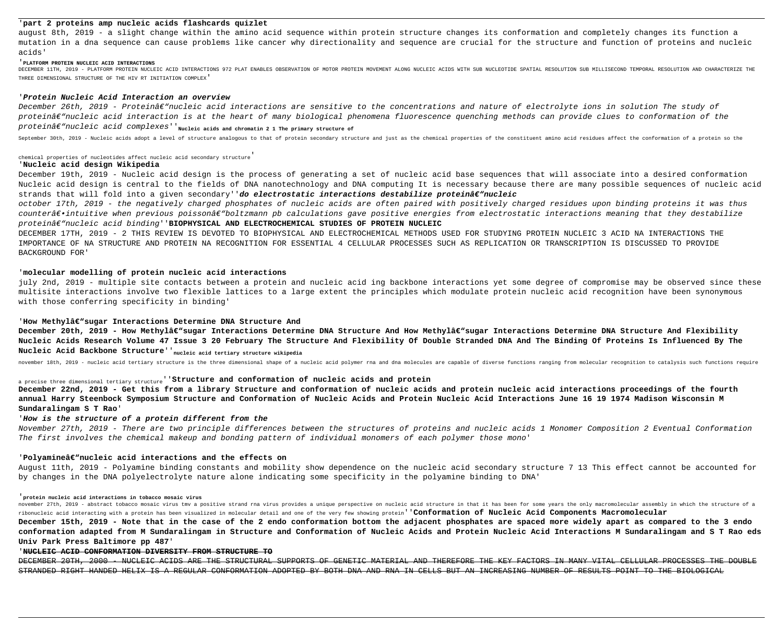# '**part 2 proteins amp nucleic acids flashcards quizlet**

august 8th, 2019 - a slight change within the amino acid sequence within protein structure changes its conformation and completely changes its function a mutation in a dna sequence can cause problems like cancer why directionality and sequence are crucial for the structure and function of proteins and nucleic acids'

DECEMBER 11TH, 2019 - PLATFORM PROTEIN NUCLEIC ACID INTERACTIONS 972 PLAT ENABLES OBSERVATION OF MOTOR PROTEIN MOVEMENT ALONG NUCLEIC ACIDS WITH SUB NUCLEOTIDE SPATIAL RESOLUTION SUB MILLISECOND TEMPORAL RESOLUTION AND CHA THREE DIMENSIONAL STRUCTURE OF THE HIV RT INITIATION COMPLEX'

## '**PLATFORM PROTEIN NUCLEIC ACID INTERACTIONS**

## '**Protein Nucleic Acid Interaction an overview**

December 26th, 2019 - Proteinâ€"nucleic acid interactions are sensitive to the concentrations and nature of electrolyte ions in solution The study of proteinâ $\varepsilon$ "nucleic acid interaction is at the heart of many biological phenomena fluorescence quenching methods can provide clues to conformation of the proteinâ $\epsilon$ "nucleic acid complexes''<sub>Nucleic acids and chromatin 2 1 The primary structure of</sub>

September 30th, 2019 - Nucleic acids adopt a level of structure analogous to that of protein secondary structure and just as the chemical properties of the constituent amino acid residues affect the conformation of a prote

December 19th, 2019 - Nucleic acid design is the process of generating a set of nucleic acid base sequences that will associate into a desired conformation Nucleic acid design is central to the fields of DNA nanotechnology and DNA computing It is necessary because there are many possible sequences of nucleic acid strands that will fold into a given secondary''**do electrostatic interactions destabilize proteinâ€"nucleic** 

october 17th, 2019 - the negatively charged phosphates of nucleic acids are often paired with positively charged residues upon binding proteins it was thus counter―intuitive when previous poissonâ€"boltzmann pb calculations gave positive energies from electrostatic interactions meaning that they destabilize proteinâ $\epsilon$ "nucleic acid binding''BIOPHYSICAL AND ELECTROCHEMICAL STUDIES OF PROTEIN NUCLEIC

# chemical properties of nucleotides affect nucleic acid secondary structure'

# '**Nucleic acid design Wikipedia**

December 20th, 2019 - How Methylâ€"sugar Interactions Determine DNA Structure And How Methylâ€"sugar Interactions Determine DNA Structure And Flexibility **Nucleic Acids Research Volume 47 Issue 3 20 February The Structure And Flexibility Of Double Stranded DNA And The Binding Of Proteins Is Influenced By The Nucleic Acid Backbone Structure**''**nucleic acid tertiary structure wikipedia**

november 18th, 2019 - nucleic acid tertiary structure is the three dimensional shape of a nucleic acid polymer rna and dna molecules are capable of diverse functions ranging from molecular recognition to catalysis such fun

DECEMBER 17TH, 2019 - 2 THIS REVIEW IS DEVOTED TO BIOPHYSICAL AND ELECTROCHEMICAL METHODS USED FOR STUDYING PROTEIN NUCLEIC 3 ACID NA INTERACTIONS THE IMPORTANCE OF NA STRUCTURE AND PROTEIN NA RECOGNITION FOR ESSENTIAL 4 CELLULAR PROCESSES SUCH AS REPLICATION OR TRANSCRIPTION IS DISCUSSED TO PROVIDE BACKGROUND FOR'

# '**molecular modelling of protein nucleic acid interactions**

november 27th, 2019 - abstract tobacco mosaic virus tmv a positive strand rna virus provides a unique perspective on nucleic acid structure in that it has been for some years the only macromolecular assembly in which the s ribonucleic acid interacting with a protein has been visualized in molecular detail and one of the very few showing protein''**Conformation of Nucleic Acid Components Macromolecular December 15th, 2019 - Note that in the case of the 2 endo conformation bottom the adjacent phosphates are spaced more widely apart as compared to the 3 endo conformation adapted from M Sundaralingam in Structure and Conformation of Nucleic Acids and Protein Nucleic Acid Interactions M Sundaralingam and S T Rao eds Univ Park Press Baltimore pp 487**'

july 2nd, 2019 - multiple site contacts between a protein and nucleic acid ing backbone interactions yet some degree of compromise may be observed since these multisite interactions involve two flexible lattices to a large extent the principles which modulate protein nucleic acid recognition have been synonymous with those conferring specificity in binding'

# 'How Methylâ€"sugar Interactions Determine DNA Structure And

a precise three dimensional tertiary structure''**Structure and conformation of nucleic acids and protein**

**December 22nd, 2019 - Get this from a library Structure and conformation of nucleic acids and protein nucleic acid interactions proceedings of the fourth annual Harry Steenbock Symposium Structure and Conformation of Nucleic Acids and Protein Nucleic Acid Interactions June 16 19 1974 Madison Wisconsin M Sundaralingam S T Rao**'

# '**How is the structure of a protein different from the**

November 27th, 2019 - There are two principle differences between the structures of proteins and nucleic acids 1 Monomer Composition 2 Eventual Conformation The first involves the chemical makeup and bonding pattern of individual monomers of each polymer those mono'

## 'Polyamineâ $\epsilon$ "nucleic acid interactions and the effects on

August 11th, 2019 - Polyamine binding constants and mobility show dependence on the nucleic acid secondary structure 7 13 This effect cannot be accounted for by changes in the DNA polyelectrolyte nature alone indicating some specificity in the polyamine binding to DNA'

## '**protein nucleic acid interactions in tobacco mosaic virus**

# '**NUCLEIC ACID CONFORMATION DIVERSITY FROM STRUCTURE TO**

DECEMBER 20TH, 2000 - NUCLEIC ACIDS ARE THE STRUCTURAL SUPPORTS OF GENETIC MATERIAL AND THEREFORE THE KEY FACTORS IN MANY VITAL CELLULAR PROCESSES THE DOUBLE STRANDED RIGHT HANDED HELIX IS A REGULAR CONFORMATION ADOPTED BY BOTH DNA AND RNA IN CELLS BUT AN INCREASING NUMBER OF RESULTS POINT TO THE BIOLOGICAL